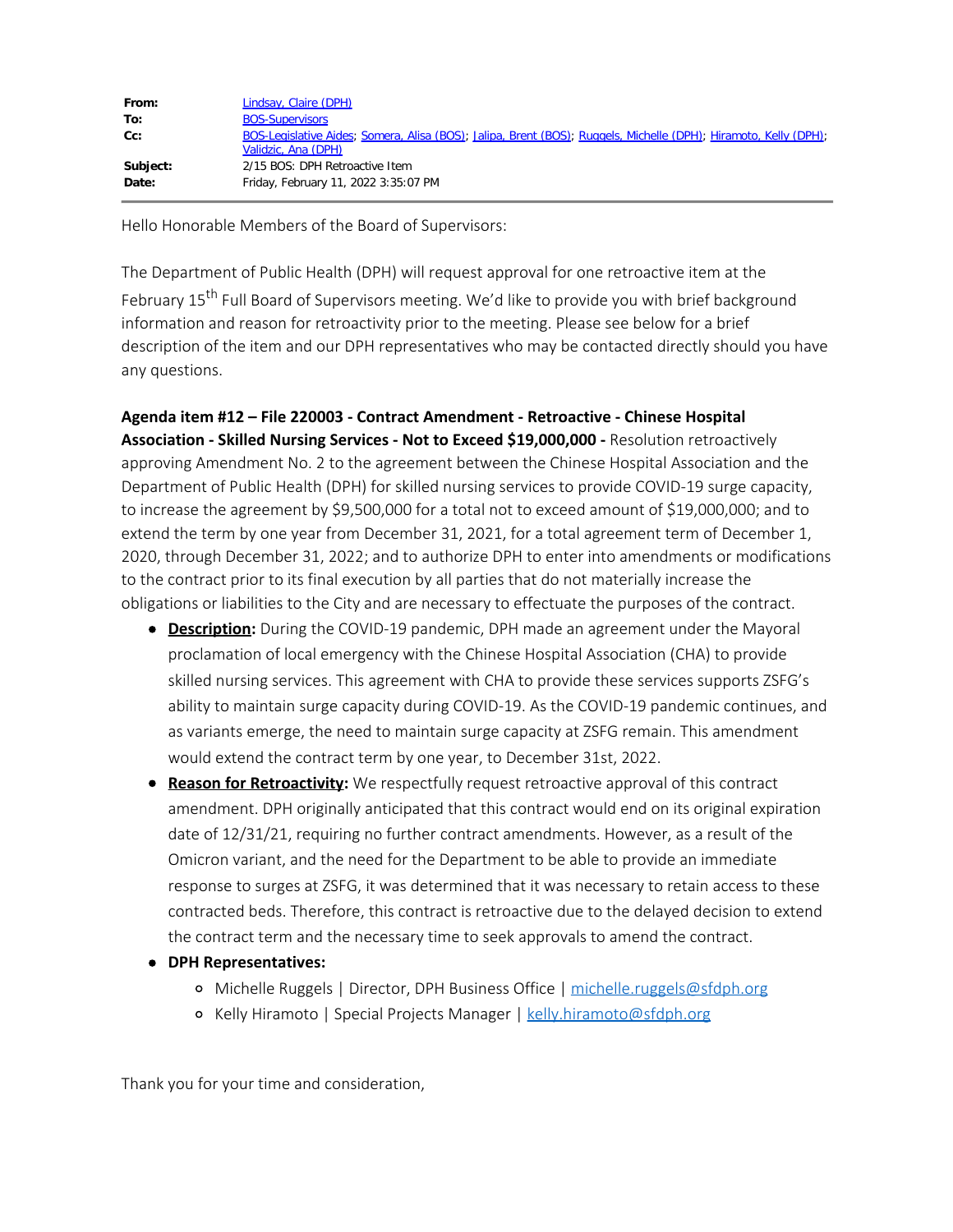| From:    | Lindsay, Claire (DPH)                                                                                                                   |
|----------|-----------------------------------------------------------------------------------------------------------------------------------------|
| To:      | <b>BOS-Supervisors</b>                                                                                                                  |
| Cc:      | BOS-Legislative Aides; Somera, Alisa (BOS); Jalipa, Brent (BOS); Ruggels, Michelle (DPH); Hiramoto, Kelly (DPH);<br>Validzic, Ana (DPH) |
| Subject: | 2/15 BOS: DPH Retroactive Item                                                                                                          |
| Date:    | Friday, February 11, 2022 3:35:07 PM                                                                                                    |

Hello Honorable Members of the Board of Supervisors:

The Department of Public Health (DPH) will request approval for one retroactive item at the February 15<sup>th</sup> Full Board of Supervisors meeting. We'd like to provide you with brief background information and reason for retroactivity prior to the meeting. Please see below for a brief description of the item and our DPH representatives who may be contacted directly should you have any questions.

**Agenda item #12 – File 220003 - Contract Amendment - Retroactive - Chinese Hospital Association - Skilled Nursing Services - Not to Exceed \$19,000,000 -** Resolution retroactively approving Amendment No. 2 to the agreement between the Chinese Hospital Association and the Department of Public Health (DPH) for skilled nursing services to provide COVID-19 surge capacity, to increase the agreement by \$9,500,000 for a total not to exceed amount of \$19,000,000; and to extend the term by one year from December 31, 2021, for a total agreement term of December 1, 2020, through December 31, 2022; and to authorize DPH to enter into amendments or modifications to the contract prior to its final execution by all parties that do not materially increase the obligations or liabilities to the City and are necessary to effectuate the purposes of the contract.

- **Description:** During the COVID-19 pandemic, DPH made an agreement under the Mayoral proclamation of local emergency with the Chinese Hospital Association (CHA) to provide skilled nursing services. This agreement with CHA to provide these services supports ZSFG's ability to maintain surge capacity during COVID-19. As the COVID-19 pandemic continues, and as variants emerge, the need to maintain surge capacity at ZSFG remain. This amendment would extend the contract term by one year, to December 31st, 2022.
- **Reason for Retroactivity:** We respectfully request retroactive approval of this contract amendment. DPH originally anticipated that this contract would end on its original expiration date of 12/31/21, requiring no further contract amendments. However, as a result of the Omicron variant, and the need for the Department to be able to provide an immediate response to surges at ZSFG, it was determined that it was necessary to retain access to these contracted beds. Therefore, this contract is retroactive due to the delayed decision to extend the contract term and the necessary time to seek approvals to amend the contract.
- **DPH Representatives:**
	- o Michelle Ruggels | Director, DPH Business Office | michelle.ruggels@sfdph.org
	- o Kelly Hiramoto | Special Projects Manager | kelly.hiramoto@sfdph.org

Thank you for your time and consideration,